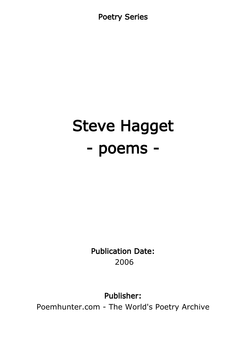Poetry Series

# Steve Hagget - poems -

Publication Date: 2006

Publisher:

Poemhunter.com - The World's Poetry Archive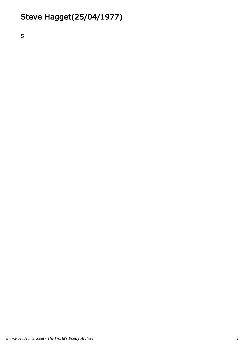# Steve Hagget(25/04/1977)

S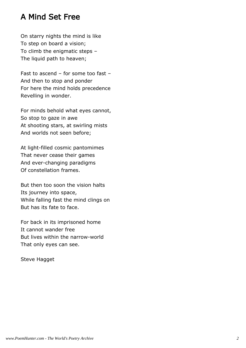# A Mind Set Free

On starry nights the mind is like To step on board a vision; To climb the enigmatic steps – The liquid path to heaven;

Fast to ascend – for some too fast – And then to stop and ponder For here the mind holds precedence Revelling in wonder.

For minds behold what eyes cannot, So stop to gaze in awe At shooting stars, at swirling mists And worlds not seen before;

At light-filled cosmic pantomimes That never cease their games And ever-changing paradigms Of constellation frames.

But then too soon the vision halts Its journey into space, While falling fast the mind clings on But has its fate to face.

For back in its imprisoned home It cannot wander free But lives within the narrow-world That only eyes can see.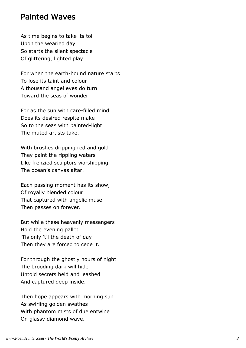#### Painted Waves

As time begins to take its toll Upon the wearied day So starts the silent spectacle Of glittering, lighted play.

For when the earth-bound nature starts To lose its taint and colour A thousand angel eyes do turn Toward the seas of wonder.

For as the sun with care-filled mind Does its desired respite make So to the seas with painted-light The muted artists take.

With brushes dripping red and gold They paint the rippling waters Like frenzied sculptors worshipping The ocean's canvas altar.

Each passing moment has its show, Of royally blended colour That captured with angelic muse Then passes on forever.

But while these heavenly messengers Hold the evening pallet 'Tis only 'til the death of day Then they are forced to cede it.

For through the ghostly hours of night The brooding dark will hide Untold secrets held and leashed And captured deep inside.

Then hope appears with morning sun As swirling golden swathes With phantom mists of due entwine On glassy diamond wave.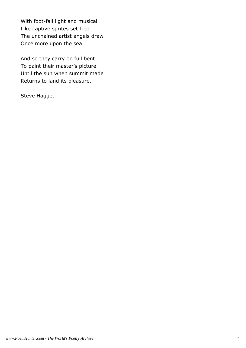With foot-fall light and musical Like captive sprites set free The unchained artist angels draw Once more upon the sea.

And so they carry on full bent To paint their master's picture Until the sun when summit made Returns to land its pleasure.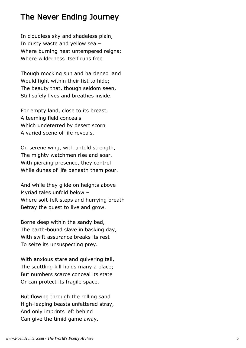# The Never Ending Journey

In cloudless sky and shadeless plain, In dusty waste and yellow sea – Where burning heat untempered reigns; Where wilderness itself runs free.

Though mocking sun and hardened land Would fight within their fist to hide; The beauty that, though seldom seen, Still safely lives and breathes inside.

For empty land, close to its breast, A teeming field conceals Which undeterred by desert scorn A varied scene of life reveals.

On serene wing, with untold strength, The mighty watchmen rise and soar. With piercing presence, they control While dunes of life beneath them pour.

And while they glide on heights above Myriad tales unfold below – Where soft-felt steps and hurrying breath Betray the quest to live and grow.

Borne deep within the sandy bed, The earth-bound slave in basking day, With swift assurance breaks its rest To seize its unsuspecting prey.

With anxious stare and quivering tail, The scuttling kill holds many a place; But numbers scarce conceal its state Or can protect its fragile space.

But flowing through the rolling sand High-leaping beasts unfettered stray, And only imprints left behind Can give the timid game away.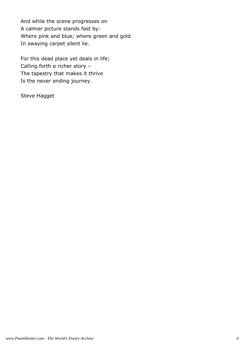And while the scene progresses on A calmer picture stands fast by: Where pink and blue; where green and gold In swaying carpet silent lie.

For this dead place yet deals in life; Calling forth a richer story – The tapestry that makes it thrive Is the never ending journey.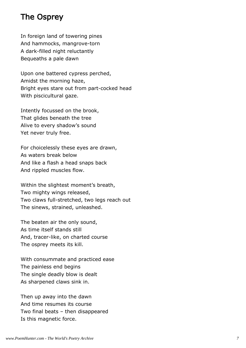# The Osprey

In foreign land of towering pines And hammocks, mangrove-torn A dark-filled night reluctantly Bequeaths a pale dawn

Upon one battered cypress perched, Amidst the morning haze, Bright eyes stare out from part-cocked head With piscicultural gaze.

Intently focussed on the brook, That glides beneath the tree Alive to every shadow's sound Yet never truly free.

For choicelessly these eyes are drawn, As waters break below And like a flash a head snaps back And rippled muscles flow.

Within the slightest moment's breath, Two mighty wings released, Two claws full-stretched, two legs reach out The sinews, strained, unleashed.

The beaten air the only sound, As time itself stands still And, tracer-like, on charted course The osprey meets its kill.

With consummate and practiced ease The painless end begins The single deadly blow is dealt As sharpened claws sink in.

Then up away into the dawn And time resumes its course Two final beats – then disappeared Is this magnetic force.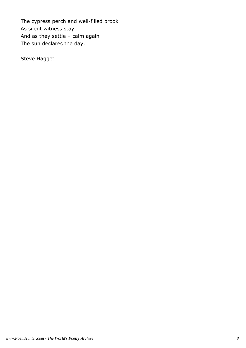The cypress perch and well-filled brook As silent witness stay And as they settle – calm again The sun declares the day.